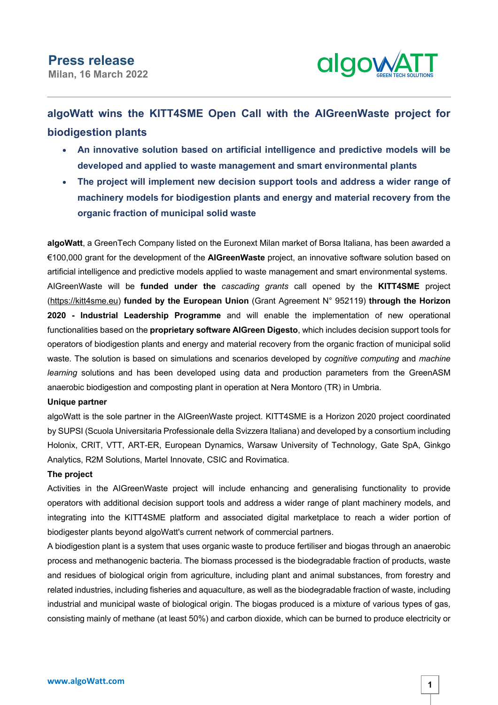

# **algoWatt wins the KITT4SME Open Call with the AIGreenWaste project for biodigestion plants**

- **An innovative solution based on artificial intelligence and predictive models will be developed and applied to waste management and smart environmental plants**
- **The project will implement new decision support tools and address a wider range of machinery models for biodigestion plants and energy and material recovery from the organic fraction of municipal solid waste**

**algoWatt**, a GreenTech Company listed on the Euronext Milan market of Borsa Italiana, has been awarded a €100,000 grant for the development of the **AIGreenWaste** project, an innovative software solution based on artificial intelligence and predictive models applied to waste management and smart environmental systems. AIGreenWaste will be **funded under the** *cascading grants* call opened by the **KITT4SME** project (https://kitt4sme.eu) **funded by the European Union** (Grant Agreement N° 952119) **through the Horizon 2020 - Industrial Leadership Programme** and will enable the implementation of new operational functionalities based on the **proprietary software AIGreen Digesto**, which includes decision support tools for operators of biodigestion plants and energy and material recovery from the organic fraction of municipal solid waste. The solution is based on simulations and scenarios developed by *cognitive computing* and *machine learning* solutions and has been developed using data and production parameters from the GreenASM anaerobic biodigestion and composting plant in operation at Nera Montoro (TR) in Umbria.

## **Unique partner**

algoWatt is the sole partner in the AIGreenWaste project. KITT4SME is a Horizon 2020 project coordinated by SUPSI (Scuola Universitaria Professionale della Svizzera Italiana) and developed by a consortium including Holonix, CRIT, VTT, ART-ER, European Dynamics, Warsaw University of Technology, Gate SpA, Ginkgo Analytics, R2M Solutions, Martel Innovate, CSIC and Rovimatica.

## **The project**

Activities in the AIGreenWaste project will include enhancing and generalising functionality to provide operators with additional decision support tools and address a wider range of plant machinery models, and integrating into the KITT4SME platform and associated digital marketplace to reach a wider portion of biodigester plants beyond algoWatt's current network of commercial partners.

A biodigestion plant is a system that uses organic waste to produce fertiliser and biogas through an anaerobic process and methanogenic bacteria. The biomass processed is the biodegradable fraction of products, waste and residues of biological origin from agriculture, including plant and animal substances, from forestry and related industries, including fisheries and aquaculture, as well as the biodegradable fraction of waste, including industrial and municipal waste of biological origin. The biogas produced is a mixture of various types of gas, consisting mainly of methane (at least 50%) and carbon dioxide, which can be burned to produce electricity or